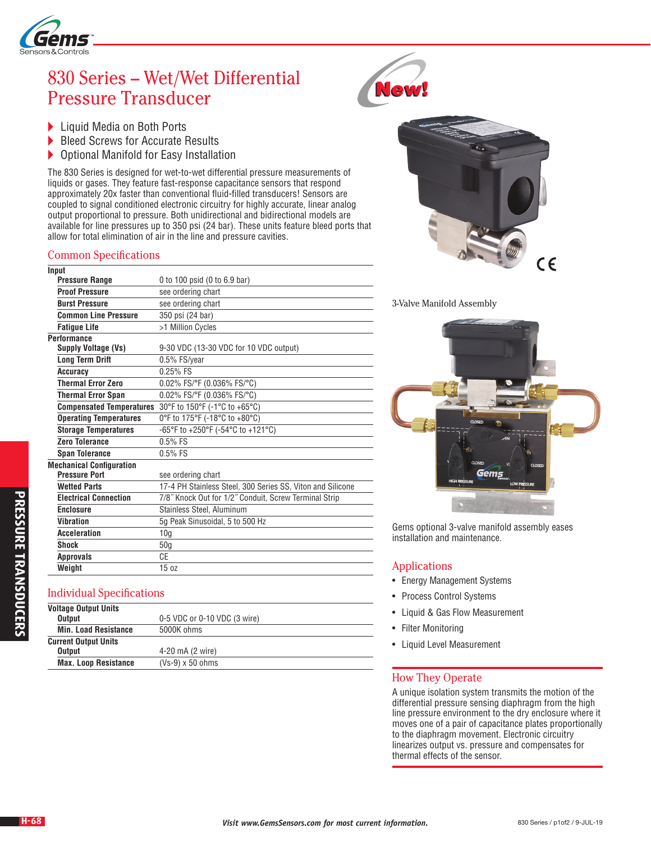

# 830 Series – Wet/Wet Differential Pressure Transducer

- ▶ Liquid Media on Both Ports<br>▶ Bleed Screws for Accurate F
- Bleed Screws for Accurate Results
- Optional Manifold for Easy Installation

The 830 Series is designed for wet-to-wet differential pressure measurements of liquids or gases. They feature fast-response capacitance sensors that respond approximately 20x faster than conventional fluid-filled transducers! Sensors are coupled to signal conditioned electronic circuitry for highly accurate, linear analog output proportional to pressure. Both unidirectional and bidirectional models are available for line pressures up to 350 psi (24 bar). These units feature bleed ports that allow for total elimination of air in the line and pressure cavities.

#### Common Specifications

| Input                           |                                                            |
|---------------------------------|------------------------------------------------------------|
| <b>Pressure Range</b>           | 0 to 100 psid (0 to 6.9 bar)                               |
| <b>Proof Pressure</b>           | see ordering chart                                         |
| <b>Burst Pressure</b>           | see ordering chart                                         |
| <b>Common Line Pressure</b>     | 350 psi (24 bar)                                           |
| <b>Fatigue Life</b>             | >1 Million Cycles                                          |
| <b>Performance</b>              |                                                            |
| Supply Voltage (Vs)             | 9-30 VDC (13-30 VDC for 10 VDC output)                     |
| <b>Long Term Drift</b>          | 0.5% FS/year                                               |
| <b>Accuracy</b>                 | $0.25%$ FS                                                 |
| <b>Thermal Error Zero</b>       | 0.02% FS/°F (0.036% FS/°C)                                 |
| <b>Thermal Error Span</b>       | 0.02% FS/°F (0.036% FS/°C)                                 |
| <b>Compensated Temperatures</b> | 30°F to 150°F (-1°C to +65°C)                              |
| <b>Operating Temperatures</b>   | 0°F to 175°F (-18°C to +80°C)                              |
| <b>Storage Temperatures</b>     | -65°F to +250°F (-54°C to +121°C)                          |
| Zero Tolerance                  | $0.5%$ FS                                                  |
| <b>Span Tolerance</b>           | $0.5%$ FS                                                  |
| <b>Mechanical Configuration</b> |                                                            |
| <b>Pressure Port</b>            | see ordering chart                                         |
| <b>Wetted Parts</b>             | 17-4 PH Stainless Steel, 300 Series SS, Viton and Silicone |
| <b>Electrical Connection</b>    | 7/8" Knock Out for 1/2" Conduit, Screw Terminal Strip      |
| <b>Enclosure</b>                | Stainless Steel, Aluminum                                  |
| <b>Vibration</b>                | 5g Peak Sinusoidal, 5 to 500 Hz                            |
| <b>Acceleration</b>             | 10 <sub>g</sub>                                            |
| <b>Shock</b>                    | 50 <sub>g</sub>                                            |
| <b>Approvals</b>                | CE                                                         |
| Weight                          | 15 oz                                                      |

# Individual Specifications

| <b>Voltage Output Units</b> |                              |
|-----------------------------|------------------------------|
| <b>Output</b>               | 0-5 VDC or 0-10 VDC (3 wire) |
| <b>Min. Load Resistance</b> | 5000K ohms                   |
| <b>Current Output Units</b> |                              |
| <b>Output</b>               | 4-20 mA (2 wire)             |
| <b>Max. Loop Resistance</b> | $(Vs-9) \times 50$ ohms      |





3-Valve Manifold Assembly



Gems optional 3-valve manifold assembly eases installation and maintenance.

# Applications

- Energy Management Systems
- Process Control Systems
- Liquid & Gas Flow Measurement
- Filter Monitoring
- Liquid Level Measurement

# How They Operate

A unique isolation system transmits the motion of the differential pressure sensing diaphragm from the high line pressure environment to the dry enclosure where it moves one of a pair of capacitance plates proportionally to the diaphragm movement. Electronic circuitry linearizes output vs. pressure and compensates for thermal effects of the sensor.